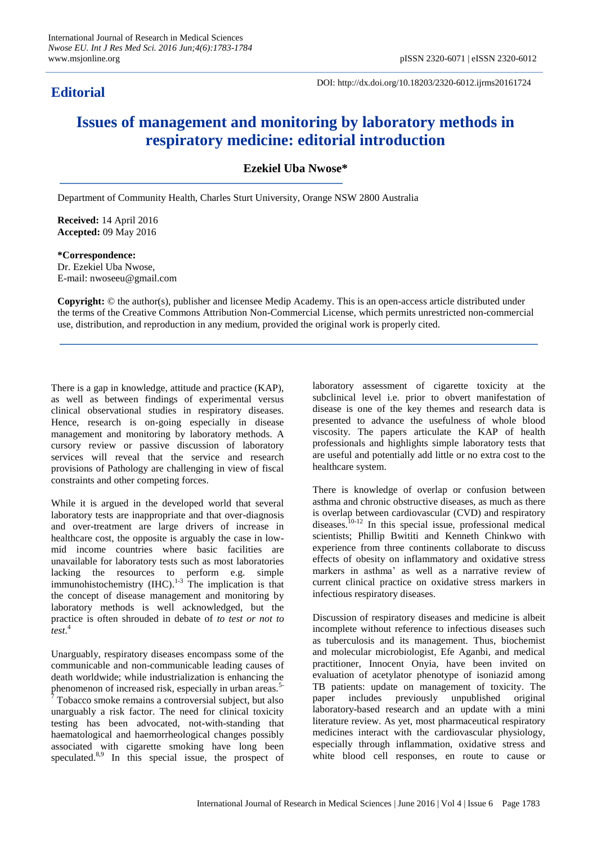## **Editorial**

DOI: http://dx.doi.org/10.18203/2320-6012.ijrms20161724

## **Issues of management and monitoring by laboratory methods in respiratory medicine: editorial introduction**

**Ezekiel Uba Nwose\***

Department of Community Health, Charles Sturt University, Orange NSW 2800 Australia

**Received:** 14 April 2016 **Accepted:** 09 May 2016

**\*Correspondence:** Dr. Ezekiel Uba Nwose, E-mail: nwoseeu@gmail.com

**Copyright:** © the author(s), publisher and licensee Medip Academy. This is an open-access article distributed under the terms of the Creative Commons Attribution Non-Commercial License, which permits unrestricted non-commercial use, distribution, and reproduction in any medium, provided the original work is properly cited.

There is a gap in knowledge, attitude and practice (KAP), as well as between findings of experimental versus clinical observational studies in respiratory diseases. Hence, research is on-going especially in disease management and monitoring by laboratory methods. A cursory review or passive discussion of laboratory services will reveal that the service and research provisions of Pathology are challenging in view of fiscal constraints and other competing forces.

While it is argued in the developed world that several laboratory tests are inappropriate and that over-diagnosis and over-treatment are large drivers of increase in healthcare cost, the opposite is arguably the case in lowmid income countries where basic facilities are unavailable for laboratory tests such as most laboratories lacking the resources to perform e.g. simple immunohistochemistry  $(HIC).$ <sup>1-3</sup> The implication is that the concept of disease management and monitoring by laboratory methods is well acknowledged, but the practice is often shrouded in debate of *to test or not to test*. 4

Unarguably, respiratory diseases encompass some of the communicable and non-communicable leading causes of death worldwide; while industrialization is enhancing the phenomenon of increased risk, especially in urban areas.<sup>5-</sup>  $7$  Tobacco smoke remains a controversial subject, but also unarguably a risk factor. The need for clinical toxicity testing has been advocated, not-with-standing that haematological and haemorrheological changes possibly associated with cigarette smoking have long been speculated.<sup>8,9</sup> In this special issue, the prospect of laboratory assessment of cigarette toxicity at the subclinical level i.e. prior to obvert manifestation of disease is one of the key themes and research data is presented to advance the usefulness of whole blood viscosity. The papers articulate the KAP of health professionals and highlights simple laboratory tests that are useful and potentially add little or no extra cost to the healthcare system.

There is knowledge of overlap or confusion between asthma and chronic obstructive diseases, as much as there is overlap between cardiovascular (CVD) and respiratory diseases.10-12 In this special issue, professional medical scientists; Phillip Bwititi and Kenneth Chinkwo with experience from three continents collaborate to discuss effects of obesity on inflammatory and oxidative stress markers in asthma' as well as a narrative review of current clinical practice on oxidative stress markers in infectious respiratory diseases.

Discussion of respiratory diseases and medicine is albeit incomplete without reference to infectious diseases such as tuberculosis and its management. Thus, biochemist and molecular microbiologist, Efe Aganbi, and medical practitioner, Innocent Onyia, have been invited on evaluation of acetylator phenotype of isoniazid among TB patients: update on management of toxicity. The paper includes previously unpublished original laboratory-based research and an update with a mini literature review. As yet, most pharmaceutical respiratory medicines interact with the cardiovascular physiology, especially through inflammation, oxidative stress and white blood cell responses, en route to cause or